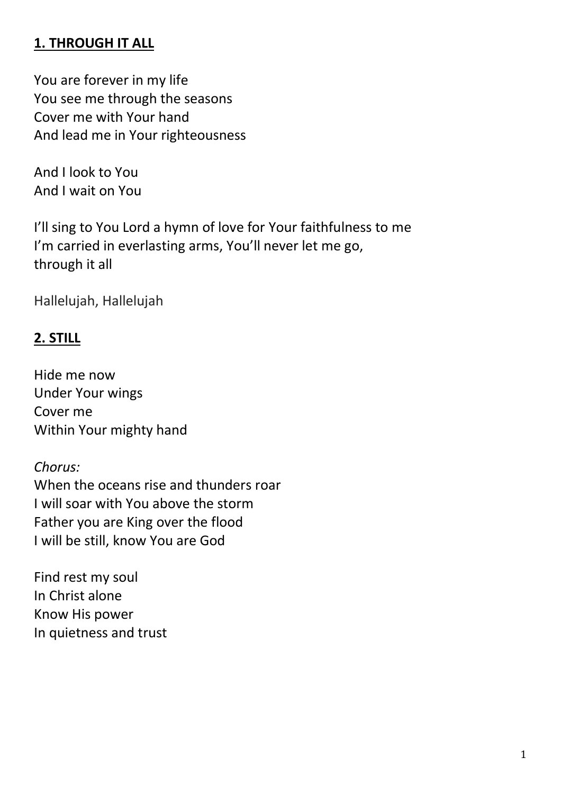## **1. THROUGH IT ALL**

You are forever in my life You see me through the seasons Cover me with Your hand And lead me in Your righteousness

And I look to You And I wait on You

I'll sing to You Lord a hymn of love for Your faithfulness to me I'm carried in everlasting arms, You'll never let me go, through it all

Hallelujah, Hallelujah

### **2. STILL**

Hide me now Under Your wings Cover me Within Your mighty hand

*Chorus:*

When the oceans rise and thunders roar I will soar with You above the storm Father you are King over the flood I will be still, know You are God

Find rest my soul In Christ alone Know His power In quietness and trust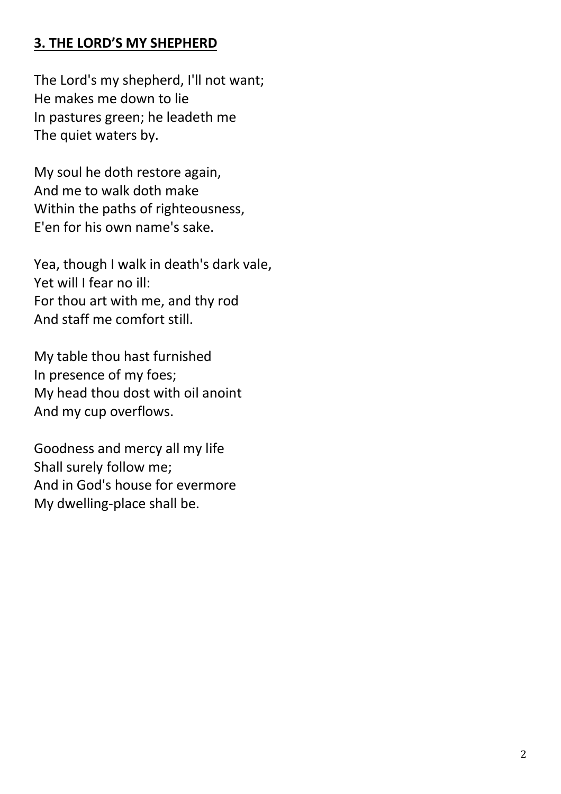### **3. THE LORD'S MY SHEPHERD**

The Lord's my shepherd, I'll not want; He makes me down to lie In pastures green; he leadeth me The quiet waters by.

My soul he doth restore again, And me to walk doth make Within the paths of righteousness, E'en for his own name's sake.

Yea, though I walk in death's dark vale, Yet will I fear no ill: For thou art with me, and thy rod And staff me comfort still.

My table thou hast furnished In presence of my foes; My head thou dost with oil anoint And my cup overflows.

Goodness and mercy all my life Shall surely follow me; And in God's house for evermore My dwelling-place shall be.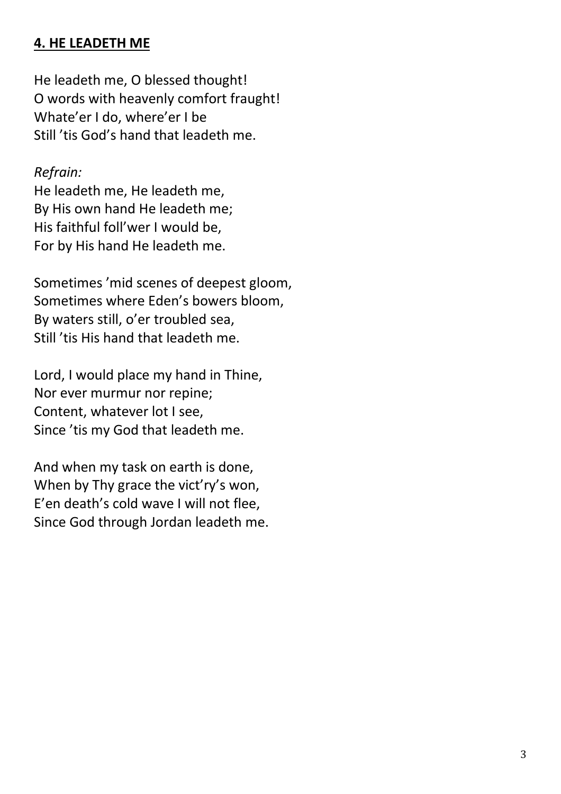## **4. HE LEADETH ME**

He leadeth me, O blessed thought! O words with heavenly comfort fraught! Whate'er I do, where'er I be Still 'tis God's hand that leadeth me.

#### *Refrain:*

He leadeth me, He leadeth me, By His own hand He leadeth me; His faithful foll'wer I would be, For by His hand He leadeth me.

Sometimes 'mid scenes of deepest gloom, Sometimes where Eden's bowers bloom, By waters still, o'er troubled sea, Still 'tis His hand that leadeth me.

Lord, I would place my hand in Thine, Nor ever murmur nor repine; Content, whatever lot I see, Since 'tis my God that leadeth me.

And when my task on earth is done, When by Thy grace the vict'ry's won, E'en death's cold wave I will not flee, Since God through Jordan leadeth me.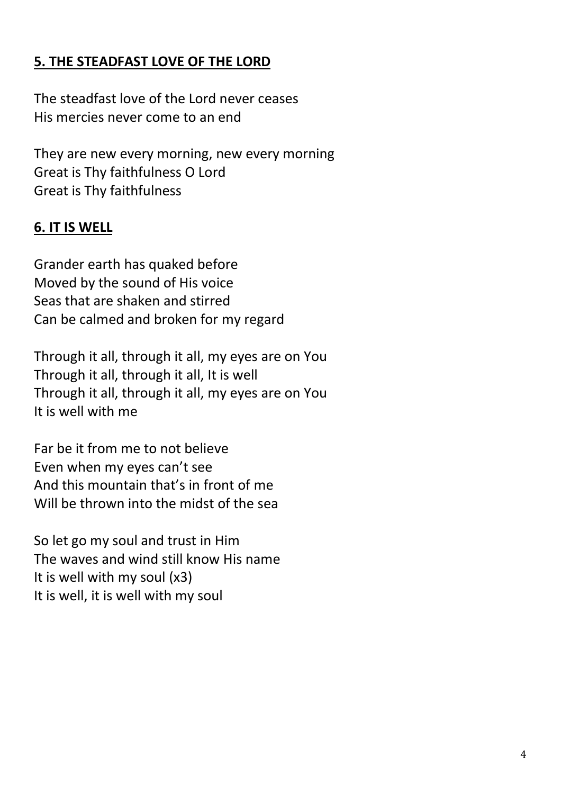# **5. THE STEADFAST LOVE OF THE LORD**

The steadfast love of the Lord never ceases His mercies never come to an end

They are new every morning, new every morning Great is Thy faithfulness O Lord Great is Thy faithfulness

# **6. IT IS WELL**

Grander earth has quaked before Moved by the sound of His voice Seas that are shaken and stirred Can be calmed and broken for my regard

Through it all, through it all, my eyes are on You Through it all, through it all, It is well Through it all, through it all, my eyes are on You It is well with me

Far be it from me to not believe Even when my eyes can't see And this mountain that's in front of me Will be thrown into the midst of the sea

So let go my soul and trust in Him The waves and wind still know His name It is well with my soul (x3) It is well, it is well with my soul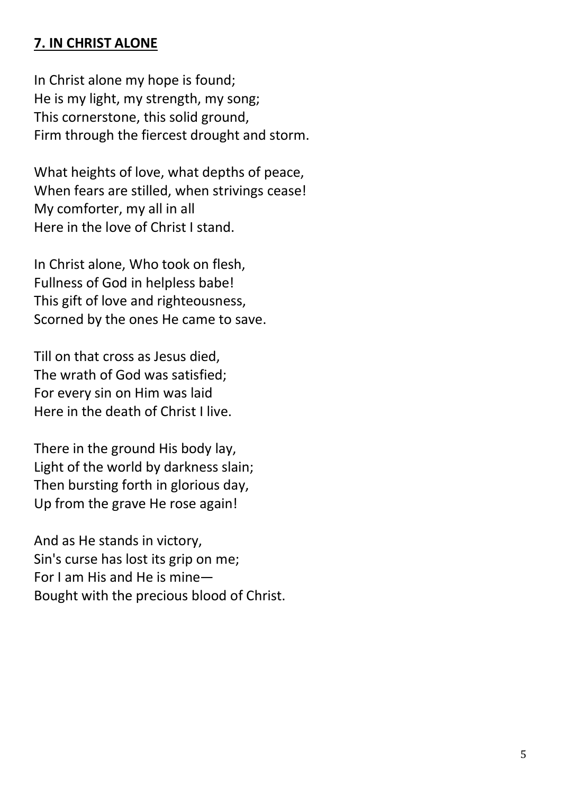#### **7. IN CHRIST ALONE**

In Christ alone my hope is found; He is my light, my strength, my song; This cornerstone, this solid ground, Firm through the fiercest drought and storm.

What heights of love, what depths of peace, When fears are stilled, when strivings cease! My comforter, my all in all Here in the love of Christ I stand.

In Christ alone, Who took on flesh, Fullness of God in helpless babe! This gift of love and righteousness, Scorned by the ones He came to save.

Till on that cross as Jesus died, The wrath of God was satisfied; For every sin on Him was laid Here in the death of Christ I live.

There in the ground His body lay, Light of the world by darkness slain; Then bursting forth in glorious day, Up from the grave He rose again!

And as He stands in victory, Sin's curse has lost its grip on me; For I am His and He is mine— Bought with the precious blood of Christ.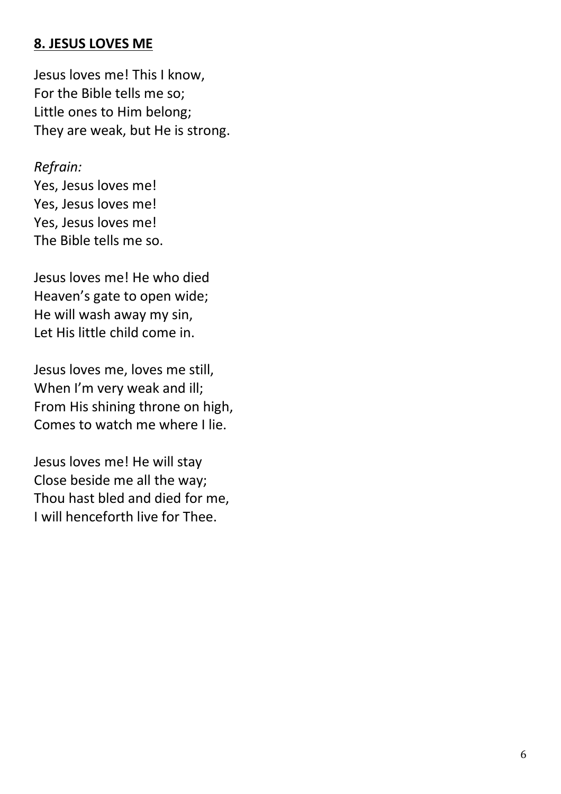#### **8. JESUS LOVES ME**

Jesus loves me! This I know, For the Bible tells me so; Little ones to Him belong; They are weak, but He is strong.

*Refrain:*

Yes, Jesus loves me! Yes, Jesus loves me! Yes, Jesus loves me! The Bible tells me so.

Jesus loves me! He who died Heaven's gate to open wide; He will wash away my sin, Let His little child come in.

Jesus loves me, loves me still, When I'm very weak and ill; From His shining throne on high, Comes to watch me where I lie.

Jesus loves me! He will stay Close beside me all the way; Thou hast bled and died for me, I will henceforth live for Thee.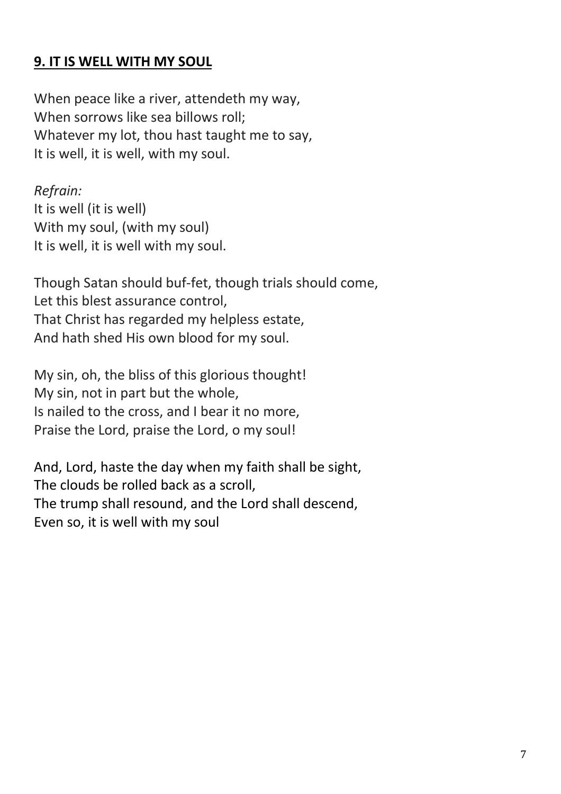## **9. IT IS WELL WITH MY SOUL**

When peace like a river, attendeth my way, When sorrows like sea billows roll; Whatever my lot, thou hast taught me to say, It is well, it is well, with my soul.

*Refrain:* It is well (it is well) With my soul, (with my soul) It is well, it is well with my soul.

Though Satan should buf-fet, though trials should come, Let this blest assurance control, That Christ has regarded my helpless estate, And hath shed His own blood for my soul.

My sin, oh, the bliss of this glorious thought! My sin, not in part but the whole, Is nailed to the cross, and I bear it no more, Praise the Lord, praise the Lord, o my soul!

And, Lord, haste the day when my faith shall be sight, The clouds be rolled back as a scroll, The trump shall resound, and the Lord shall descend, Even so, it is well with my soul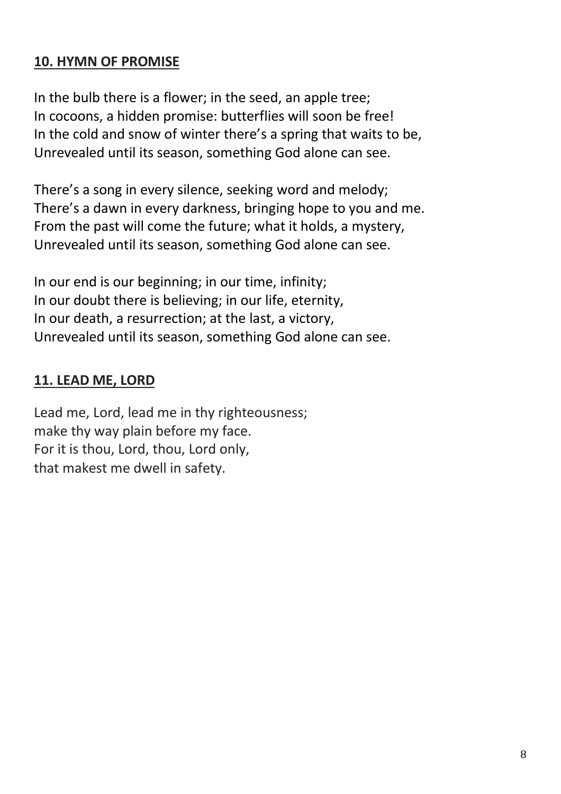### **10. HYMN OF PROMISE**

In the bulb there is a flower; in the seed, an apple tree; In cocoons, a hidden promise: butterflies will soon be free! In the cold and snow of winter there's a spring that waits to be, Unrevealed until its season, something God alone can see.

There's a song in every silence, seeking word and melody; There's a dawn in every darkness, bringing hope to you and me. From the past will come the future; what it holds, a mystery, Unrevealed until its season, something God alone can see.

In our end is our beginning; in our time, infinity; In our doubt there is believing; in our life, eternity, In our death, a resurrection; at the last, a victory, Unrevealed until its season, something God alone can see.

### **11. LEAD ME, LORD**

Lead me, Lord, lead me in thy righteousness; make thy way plain before my face. For it is thou, Lord, thou, Lord only, that makest me dwell in safety.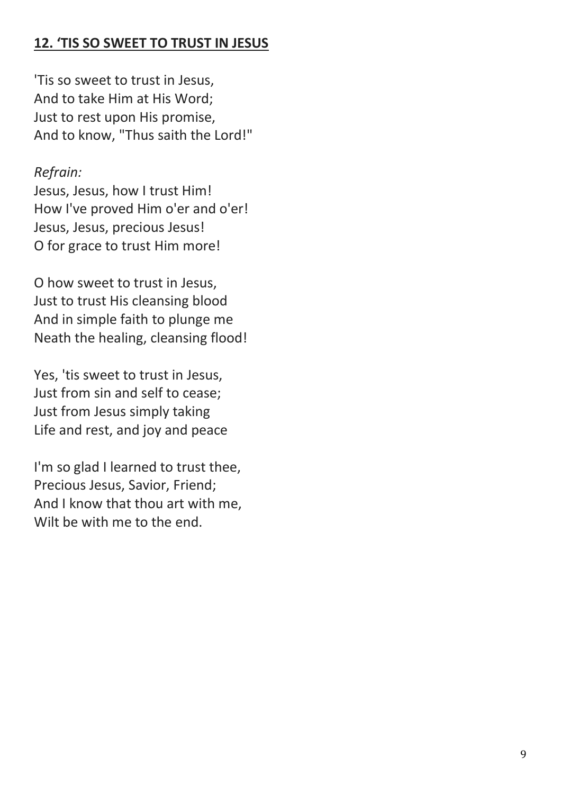# **12. 'TIS SO SWEET TO TRUST IN JESUS**

'Tis so sweet to trust in Jesus, And to take Him at His Word; Just to rest upon His promise, And to know, "Thus saith the Lord!"

#### *Refrain:*

Jesus, Jesus, how I trust Him! How I've proved Him o'er and o'er! Jesus, Jesus, precious Jesus! O for grace to trust Him more!

O how sweet to trust in Jesus, Just to trust His cleansing blood And in simple faith to plunge me Neath the healing, cleansing flood!

Yes, 'tis sweet to trust in Jesus, Just from sin and self to cease; Just from Jesus simply taking Life and rest, and joy and peace

I'm so glad I learned to trust thee, Precious Jesus, Savior, Friend; And I know that thou art with me, Wilt be with me to the end.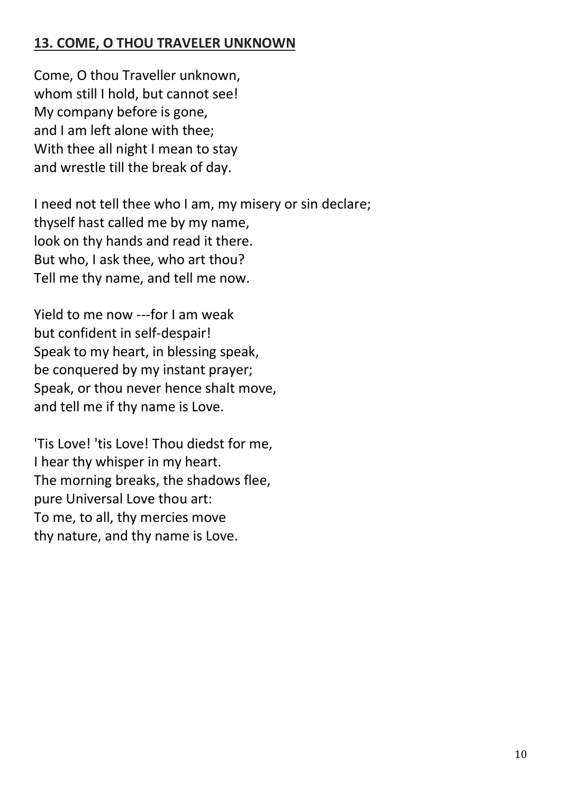### **13. COME, O THOU TRAVELER UNKNOWN**

Come, O thou Traveller unknown, whom still I hold, but cannot see! My company before is gone, and I am left alone with thee; With thee all night I mean to stay and wrestle till the break of day.

I need not tell thee who I am, my misery or sin declare; thyself hast called me by my name, look on thy hands and read it there. But who, I ask thee, who art thou? Tell me thy name, and tell me now.

Yield to me now ---for I am weak but confident in self-despair! Speak to my heart, in blessing speak, be conquered by my instant prayer; Speak, or thou never hence shalt move, and tell me if thy name is Love.

'Tis Love! 'tis Love! Thou diedst for me, I hear thy whisper in my heart. The morning breaks, the shadows flee, pure Universal Love thou art: To me, to all, thy mercies move thy nature, and thy name is Love.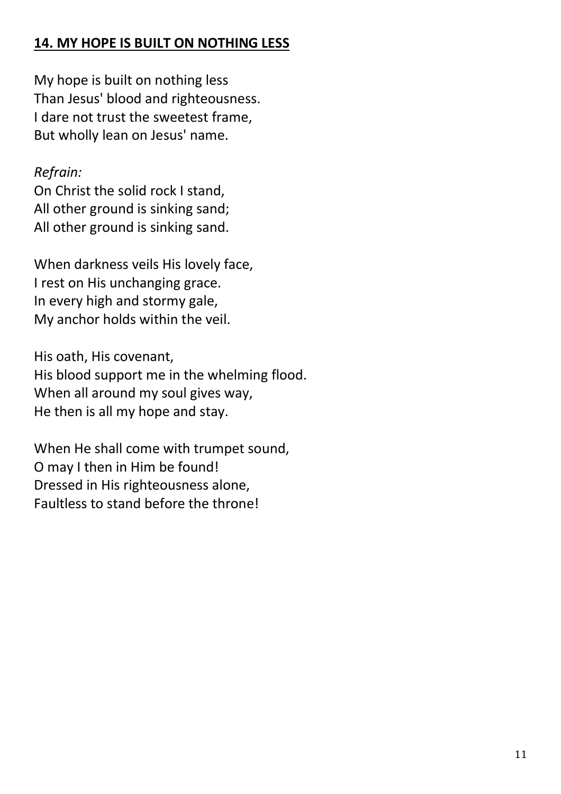# **14. MY HOPE IS BUILT ON NOTHING LESS**

My hope is built on nothing less Than Jesus' blood and righteousness. I dare not trust the sweetest frame, But wholly lean on Jesus' name.

#### *Refrain:*

On Christ the solid rock I stand, All other ground is sinking sand; All other ground is sinking sand.

When darkness veils His lovely face, I rest on His unchanging grace. In every high and stormy gale, My anchor holds within the veil.

His oath, His covenant, His blood support me in the whelming flood. When all around my soul gives way, He then is all my hope and stay.

When He shall come with trumpet sound, O may I then in Him be found! Dressed in His righteousness alone, Faultless to stand before the throne!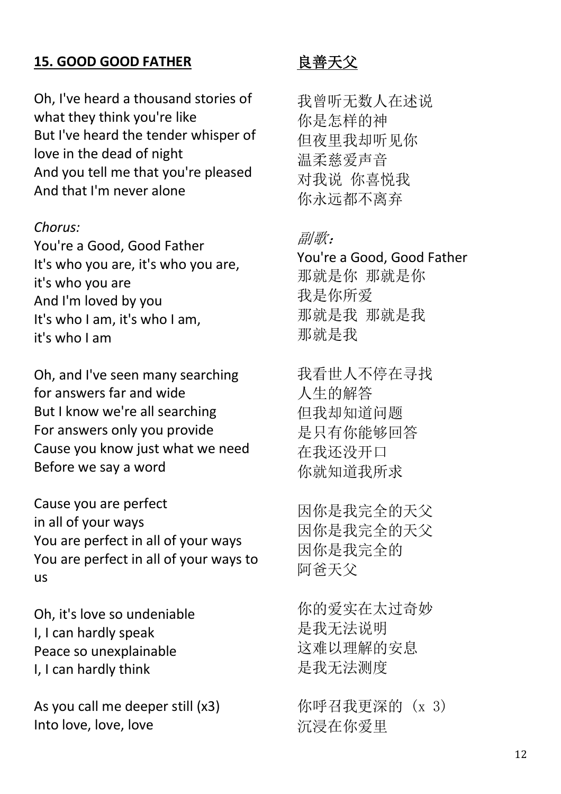# **15. GOOD GOOD FATHER**

Oh, I've heard a thousand stories of what they think you're like But I've heard the tender whisper of love in the dead of night And you tell me that you're pleased And that I'm never alone

#### *Chorus:*

You're a Good, Good Father It's who you are, it's who you are, it's who you are And I'm loved by you It's who I am, it's who I am, it's who I am

Oh, and I've seen many searching for answers far and wide But I know we're all searching For answers only you provide Cause you know just what we need Before we say a word

Cause you are perfect in all of your ways You are perfect in all of your ways You are perfect in all of your ways to us

Oh, it's love so undeniable I, I can hardly speak Peace so unexplainable I, I can hardly think

As you call me deeper still (x3) Into love, love, love

# 良善天父

我曾听无数人在述说 你是怎样的神 但夜里我却听见你 温柔慈爱声音 对我说 你喜悦我 你永远都不离弃

### 副歌:

You're a Good, Good Father 那就是你 那就是你 我是你所爱 那就是我 那就是我 那就是我

我看世人不停在寻找 人生的解答 但我却知道问题 是只有你能够回答 在我还没开口 你就知道我所求

因你是我完全的天父 因你是我完全的天父 因你是我完全的 阿爸天父

你的爱实在太过奇妙 是我无法说明 这难以理解的安息 是我无法测度

你呼召我更深的 (x 3) 沉浸在你爱里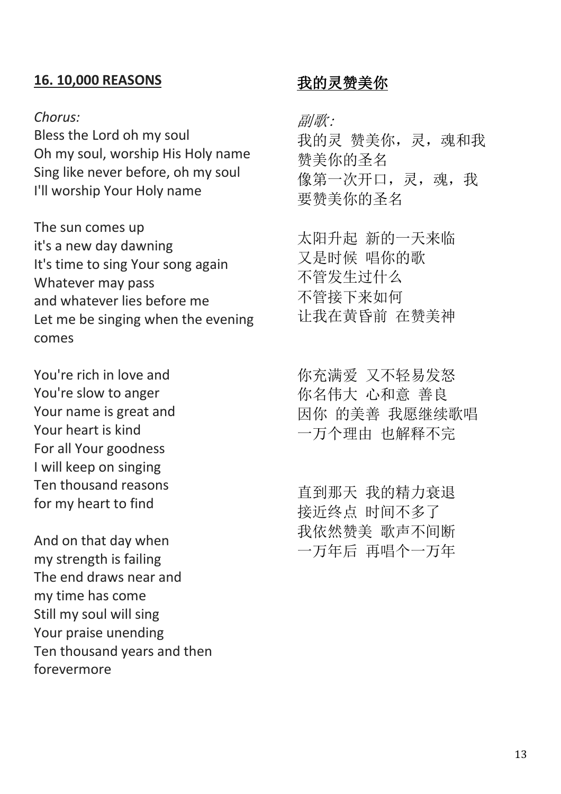#### **16. 10,000 REASONS**

#### *Chorus:*

Bless the Lord oh my soul Oh my soul, worship His Holy name Sing like never before, oh my soul I'll worship Your Holy name

- The sun comes up it's a new day dawning It's time to sing Your song again Whatever may pass and whatever lies before me Let me be singing when the evening comes
- You're rich in love and You're slow to anger Your name is great and Your heart is kind For all Your goodness I will keep on singing Ten thousand reasons for my heart to find

And on that day when my strength is failing The end draws near and my time has come Still my soul will sing Your praise unending Ten thousand years and then forevermore

# 我的灵赞美你

副歌: 我的灵 赞美你,灵,魂和我 赞美你的圣名 像第一次开口,灵,魂,我 要赞美你的圣名

太阳升起 新的一天来临 又是时候 唱你的歌 不管发生过什么 不管接下来如何 让我在黄昏前 在赞美神

你充满爱 又不轻易发怒 你名伟大 心和意 善良 因你 的美善 我愿继续歌唱 一万个理由 也解释不完

直到那天 我的精力衰退 接近终点 时间不多了 我依然赞美 歌声不间断 一万年后 再唱个一万年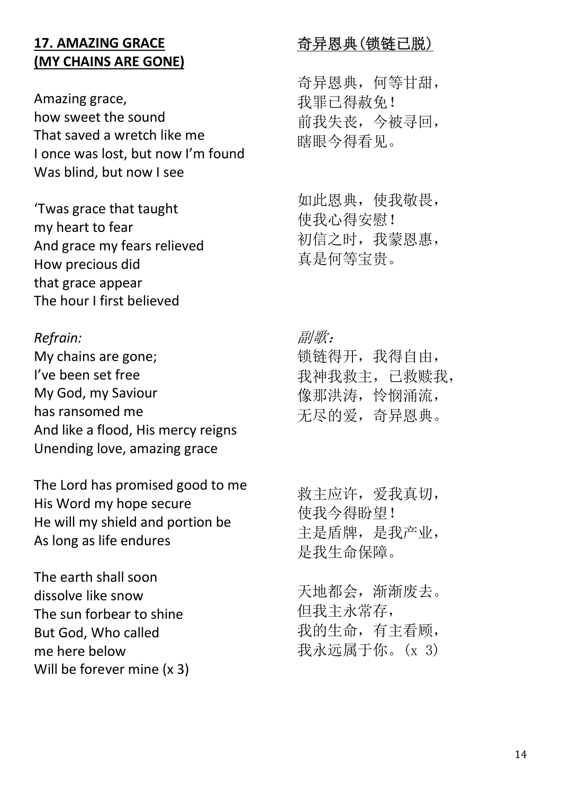# **17. AMAZING GRACE (MY CHAINS ARE GONE)**

Amazing grace, how sweet the sound That saved a wretch like me I once was lost, but now I'm found Was blind, but now I see

'Twas grace that taught my heart to fear And grace my fears relieved How precious did that grace appear The hour I first believed

#### *Refrain:*

My chains are gone; I've been set free My God, my Saviour has ransomed me And like a flood, His mercy reigns Unending love, amazing grace

The Lord has promised good to me His Word my hope secure He will my shield and portion be As long as life endures

The earth shall soon dissolve like snow The sun forbear to shine But God, Who called me here below Will be forever mine (x 3)

# 奇异恩典(锁链已脱)

奇异恩典,何等甘甜, 我罪已得赦免! 前我失丧,今被寻回, 瞎眼今得看见。

如此恩典,使我敬畏, 使我心得安慰! 初信之时,我蒙恩惠, 真是何等宝贵。

副歌: 锁链得开,我得自由, 我神我救主,已救赎我, 像那洪涛,怜悯涌流,

无尽的爱,奇异恩典。

救主应许, 爱我真切, 使我今得盼望! 主是盾牌,是我产业, 是我生命保障。

天地都会,渐渐废去。 但我主永常存, 我的生命,有主看顾, 我永远属于你。(x 3)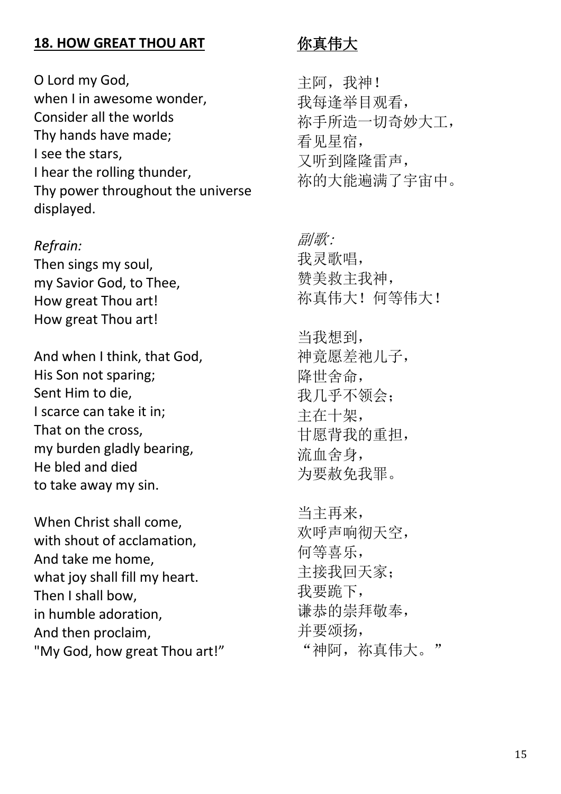#### **18. HOW GREAT THOU ART**

O Lord my God, when I in awesome wonder. Consider all the worlds Thy hands have made; I see the stars, I hear the rolling thunder, Thy power throughout the universe displayed.

*Refrain:*

Then sings my soul, my Savior God, to Thee, How great Thou art! How great Thou art!

And when I think, that God, His Son not sparing; Sent Him to die, I scarce can take it in; That on the cross, my burden gladly bearing, He bled and died to take away my sin.

When Christ shall come, with shout of acclamation. And take me home, what joy shall fill my heart. Then I shall bow, in humble adoration, And then proclaim, "My God, how great Thou art!"

# 你真伟大

主阿,我神! 我每逢举目观看, 祢手所造一切奇妙大工, 看见星宿, 又听到隆隆雷声, 祢的大能遍满了宇宙中。

副歌: 我灵歌唱, 赞美救主我神, 祢真伟大!何等伟大!

当我想到, 神竟愿差祂儿子, 降世舍命, 我几乎不领会; 主在十架, 甘愿背我的重担, 流血舍身, 为要赦免我罪。

当主再来, 欢呼声响彻天空, 何等喜乐, 主接我回天家; 我要跪下, 谦恭的崇拜敬奉, 并要颂扬, "神阿, 祢真伟大。"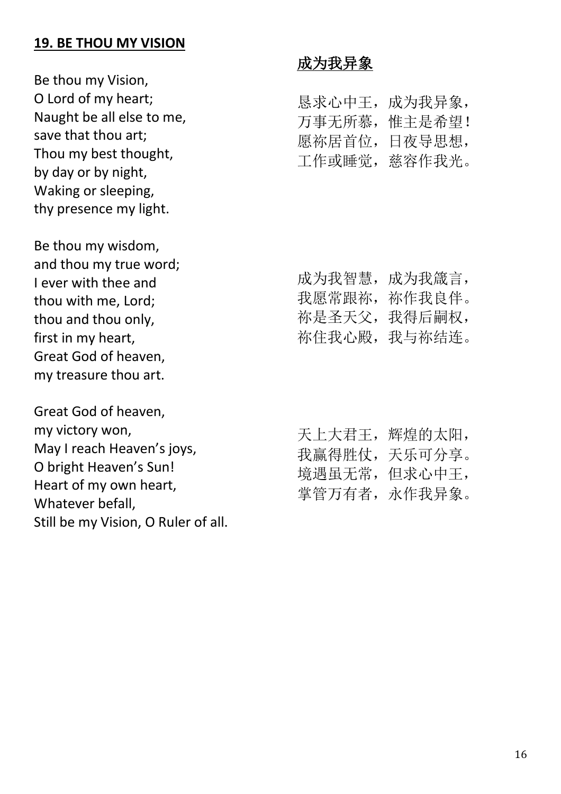#### **19. BE THOU MY VISION**

Be thou my Vision, O Lord of my heart; Naught be all else to me, save that thou art; Thou my best thought, by day or by night, Waking or sleeping, thy presence my light.

Be thou my wisdom, and thou my true word; I ever with thee and thou with me, Lord; thou and thou only, first in my heart, Great God of heaven, my treasure thou art.

Great God of heaven, my victory won, May I reach Heaven's joys, O bright Heaven's Sun! Heart of my own heart, Whatever befall, Still be my Vision, O Ruler of all.

### 成为我异象

| 恳求心中王,成为我异象, |        |
|--------------|--------|
| 万事无所慕,       | 惟主是希望! |
| 愿祢居首位,       | 日夜导思想, |
| 工作或睡觉,       | 慈容作我光。 |

| 成为我智慧,       | 成为我箴言,       |
|--------------|--------------|
| 我愿常跟祢,       | 祢作我良伴。       |
| 祢是圣天父,我得后嗣权, |              |
|              | 祢住我心殿,我与祢结连。 |

| 天上大君王, | 辉煌的太阳, |
|--------|--------|
| 我赢得胜仗, | 天乐可分享。 |
| 境遇虽无常, | 但求心中王, |
| 掌管万有者, | 永作我异象。 |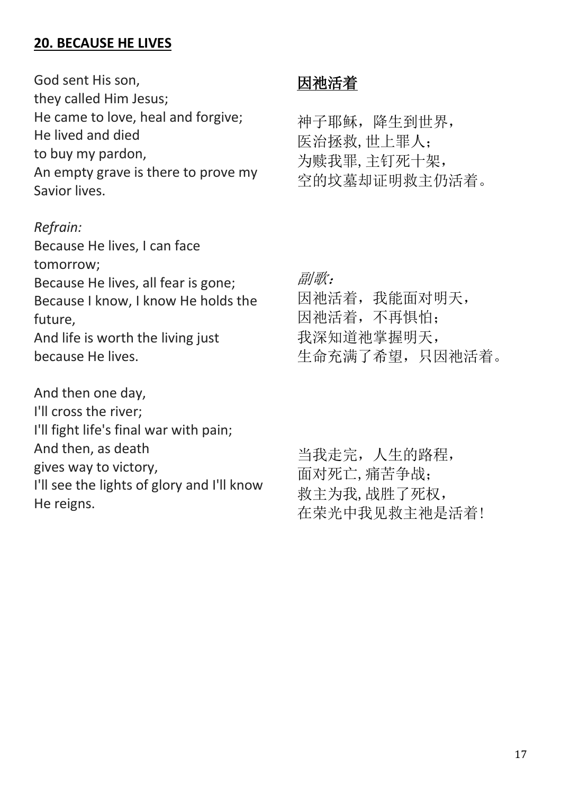### **20. BECAUSE HE LIVES**

God sent His son,

they called Him Jesus;

He came to love, heal and forgive; He lived and died

to buy my pardon,

An empty grave is there to prove my Savior lives.

#### *Refrain:*

Because He lives, I can face tomorrow; Because He lives, all fear is gone; Because I know, I know He holds the future, And life is worth the living just because He lives.

And then one day, I'll cross the river; I'll fight life's final war with pain; And then, as death gives way to victory, I'll see the lights of glory and I'll know He reigns.

# 因祂活着

神子耶稣,降生到世界, 医治拯救,世上罪人; 为赎我罪,主钉死十架, 空的坟墓却证明救主仍活着。

### 副歌:

因祂活着,我能面对明天, 因祂活着,不再惧怕; 我深知道祂掌握明天, 生命充满了希望,只因祂活着。

当我走完,人生的路程, 面对死亡,痛苦争战; 救主为我,战胜了死权, 在荣光中我见救主祂是活着!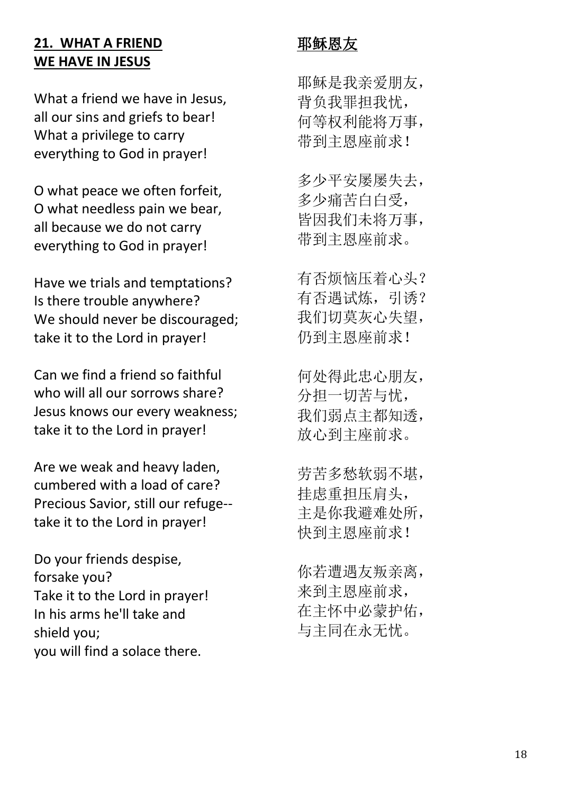## **21. WHAT A FRIEND WE HAVE IN JESUS**

What a friend we have in Jesus, all our sins and griefs to bear! What a privilege to carry everything to God in prayer!

O what peace we often forfeit, O what needless pain we bear, all because we do not carry everything to God in prayer!

Have we trials and temptations? Is there trouble anywhere? We should never be discouraged; take it to the Lord in prayer!

Can we find a friend so faithful who will all our sorrows share? Jesus knows our every weakness; take it to the Lord in prayer!

Are we weak and heavy laden, cumbered with a load of care? Precious Savior, still our refuge- take it to the Lord in prayer!

Do your friends despise, forsake you? Take it to the Lord in prayer! In his arms he'll take and shield you; you will find a solace there.

# 耶稣恩友

耶稣是我亲爱朋友, 背负我罪担我忧, 何等权利能将万事, 带到主恩座前求!

多少平安屡屡失去, 多少痛苦白白受, 皆因我们未将万事, 带到主恩座前求。

有否烦恼压着心头? 有否遇试炼,引诱? 我们切莫灰心失望, 仍到主恩座前求!

何处得此忠心朋友, 分担一切苦与忧, 我们弱点主都知透, 放心到主座前求。

劳苦多愁软弱不堪, 挂虑重担压肩头, 主是你我避难处所, 快到主恩座前求!

你若遭遇友叛亲离, 来到主恩座前求, 在主怀中必蒙护佑, 与主同在永无忧。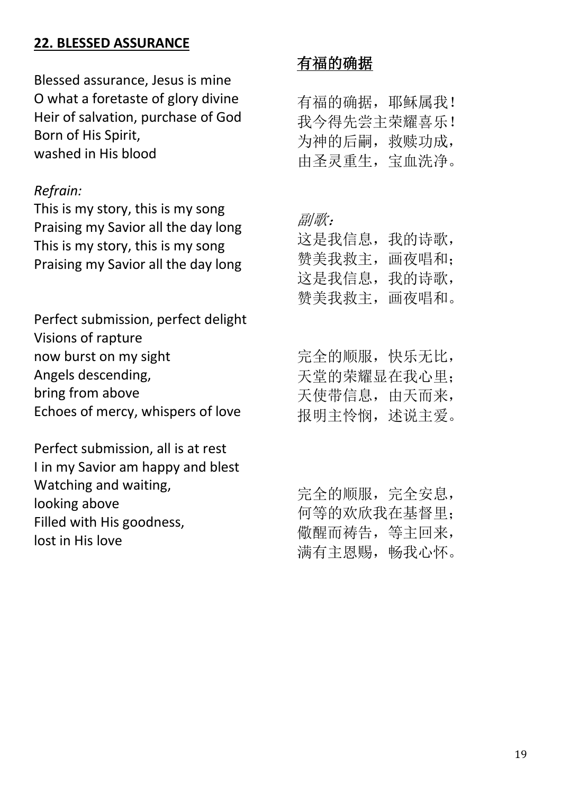#### **22. BLESSED ASSURANCE**

Blessed assurance, Jesus is mine O what a foretaste of glory divine Heir of salvation, purchase of God Born of His Spirit, washed in His blood

#### *Refrain:*

This is my story, this is my song Praising my Savior all the day long This is my story, this is my song Praising my Savior all the day long

Perfect submission, perfect delight Visions of rapture now burst on my sight Angels descending, bring from above Echoes of mercy, whispers of love

Perfect submission, all is at rest I in my Savior am happy and blest Watching and waiting, looking above Filled with His goodness, lost in His love

# 有福的确据

有福的确据, 耶稣属我! 我今得先尝主荣耀喜乐! 为神的后嗣,救赎功成, 由圣灵重生,宝血洗净。

#### 副歌:

这是我信息,我的诗歌, 赞美我救主,画夜唱和; 这是我信息,我的诗歌, 赞美我救主,画夜唱和。

完全的顺服,快乐无比, 天堂的荣耀显在我心里; 天使带信息,由天而来, 报明主怜悯, 述说主爱。

完全的顺服,完全安息, 何等的欢欣我在基督里; 做醒而祷告,等主回来, 满有主恩赐,畅我心怀。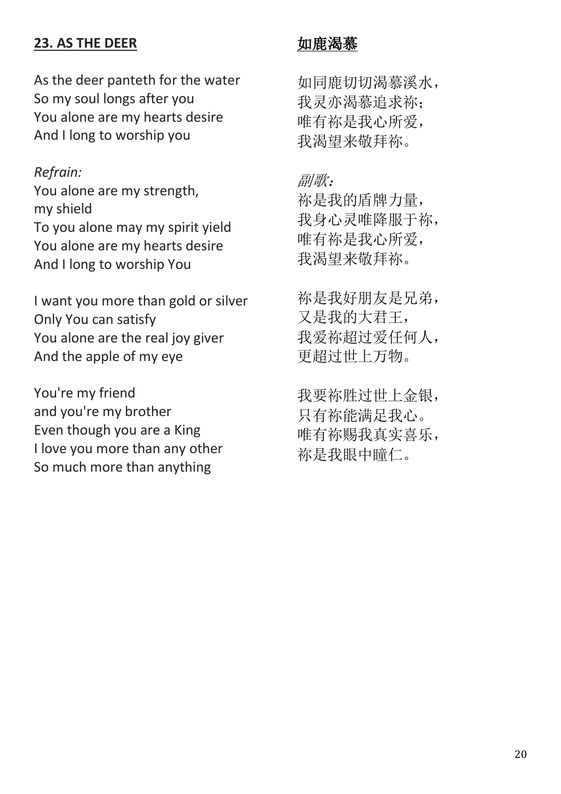### **23. AS THE DEER**

As the deer panteth for the water So my soul longs after you You alone are my hearts desire And I long to worship you

#### *Refrain:*

You alone are my strength, my shield To you alone may my spirit yield You alone are my hearts desire And I long to worship You

I want you more than gold or silver Only You can satisfy You alone are the real joy giver And the apple of my eye

You're my friend and you're my brother Even though you are a King I love you more than any other So much more than anything

# 如鹿渴慕

如同鹿切切渴慕溪水, 我灵亦渴慕追求祢; 唯有祢是我心所爱, 我渴望来敬拜祢。

#### 副歌:

祢是我的盾牌力量, 我身心灵唯降服于祢, 唯有祢是我心所爱, 我渴望来敬拜祢。

祢是我好朋友是兄弟, 又是我的大君王, 我爱祢超过爱任何人, 更超过世上万物。

我要祢胜过世上金银, 只有祢能满足我心。 唯有祢赐我真实喜乐, 祢是我眼中瞳仁。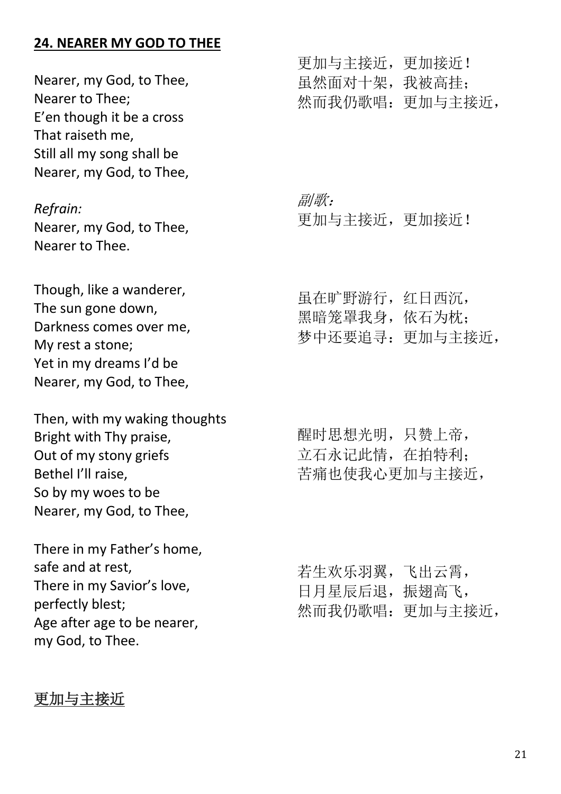#### **24. NEARER MY GOD TO THEE**

Nearer, my God, to Thee, Nearer to Thee; E'en though it be a cross That raiseth me, Still all my song shall be Nearer, my God, to Thee,

#### *Refrain:*

Nearer, my God, to Thee, Nearer to Thee.

Though, like a wanderer, The sun gone down, Darkness comes over me, My rest a stone; Yet in my dreams I'd be Nearer, my God, to Thee,

Then, with my waking thoughts Bright with Thy praise, Out of my stony griefs Bethel I'll raise, So by my woes to be Nearer, my God, to Thee,

There in my Father's home, safe and at rest, There in my Savior's love, perfectly blest; Age after age to be nearer, my God, to Thee.

### 更加与主接近

更加与主接近,更加接近! 虽然面对十架,我被高挂; 然而我仍歌唱: 更加与主接近,

副歌: 更加与主接近,更加接近!

| 虽在旷野游行, 红日西沉, |                 |
|---------------|-----------------|
| 黑暗笼罩我身,依石为枕:  |                 |
|               | 梦中还要追寻: 更加与主接近, |

醒时思想光明,只赞上帝, 立石永记此情,在拍特利; 苦痛也使我心更加与主接近,

若生欢乐羽翼,飞出云霄, 日月星辰后退,振翅高飞, 然而我仍歌唱:更加与主接近,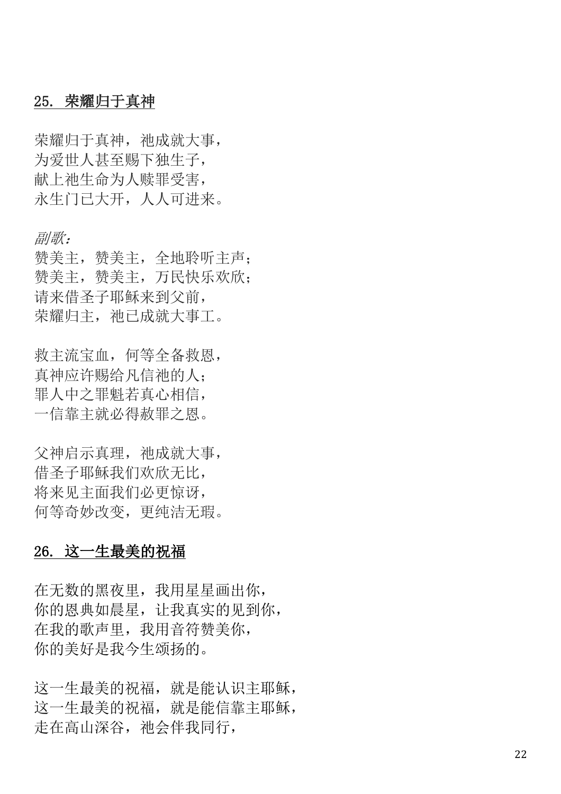#### 25. 荣耀归于真神

荣耀归于真神, 祂成就大事, 为爱世人甚至赐下独生子, 献上祂生命为人赎罪受害, 永生门已大开,人人可进来。

#### 副歌:

赞美主,赞美主,全地聆听主声; 赞美主,赞美主,万民快乐欢欣; 请来借圣子耶稣来到父前, 荣耀归主, 祂已成就大事工。

救主流宝血,何等全备救恩, 真神应许赐给凡信祂的人; 罪人中之罪魁若真心相信, 一信靠主就必得赦罪之恩。

父神启示真理, 祂成就大事, 借圣子耶稣我们欢欣无比, 将来见主面我们必更惊讶, 何等奇妙改变,更纯洁无瑕。

#### 26. 这一生最美的祝福

在无数的黑夜里,我用星星画出你, 你的恩典如晨星,让我真实的见到你, 在我的歌声里,我用音符赞美你, 你的美好是我今生颂扬的。

这一生最美的祝福,就是能认识主耶稣, 这一生最美的祝福,就是能信靠主耶稣, 走在高山深谷,祂会伴我同行,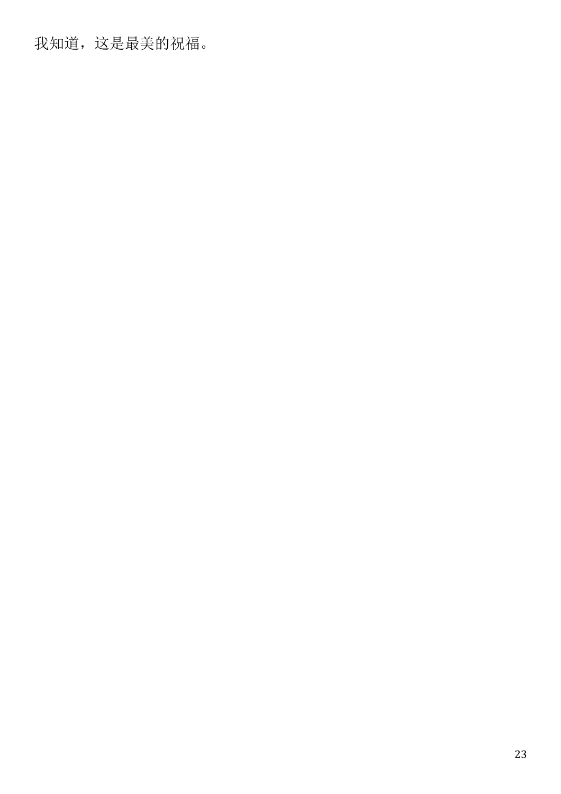我知道,这是最美的祝福。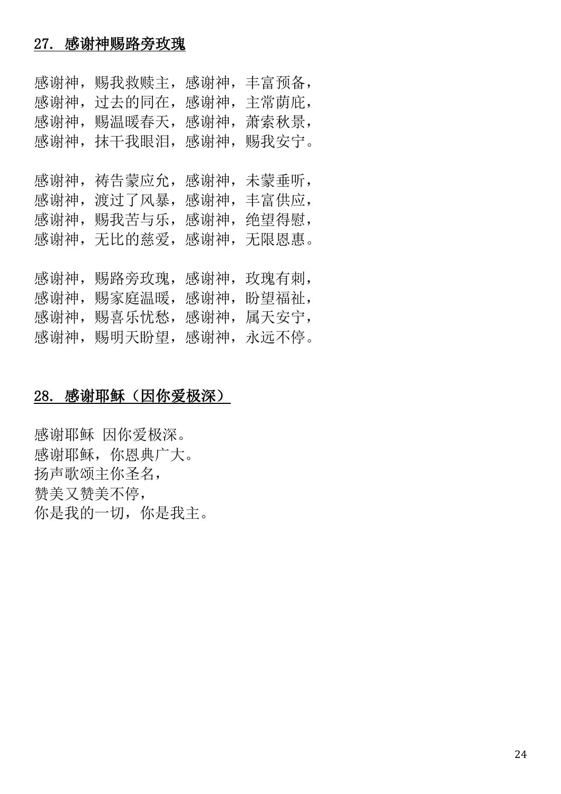# 27. 感谢神赐路旁玫瑰

| 感谢神, | 赐我救赎主, | 感谢神, | 丰富预备, |
|------|--------|------|-------|
| 感谢神, | 讨去的同在, | 感谢神, | 主常荫庇, |
| 感谢神, | 赐温暖春天, | 感谢神, | 萧索秋景, |
| 感谢神, | 抹干我眼泪, | 感谢神, | 赐我安宁。 |
|      |        |      |       |
| 感谢神, | 祷告蒙应允, | 感谢神, | 未蒙垂听, |
| 感谢神, | 渡过了风暴, | 感谢神, | 丰富供应, |
| 感谢神, | 赐我苦与乐, | 感谢神, | 绝望得慰, |
| 感谢神, | 无比的慈爱, | 感谢神, | 无限恩惠。 |
|      |        |      |       |
| 感谢神, | 赐路旁玫瑰, | 感谢神, | 玫瑰有刺, |
| 感谢神, | 赐家庭温暖, | 感谢神, | 盼望福祉, |
| 感谢神, | 赐喜乐忧愁, | 感谢神, | 属天安宁, |
| 感谢神, | 赐明天盼望, | 感谢神, | 永远不停。 |

### 28. 感谢耶稣(因你爱极深)

感谢耶稣 因你爱极深。 感谢耶稣,你恩典广大。 扬声歌颂主你圣名, 赞美又赞美不停, 你是我的一切,你是我主。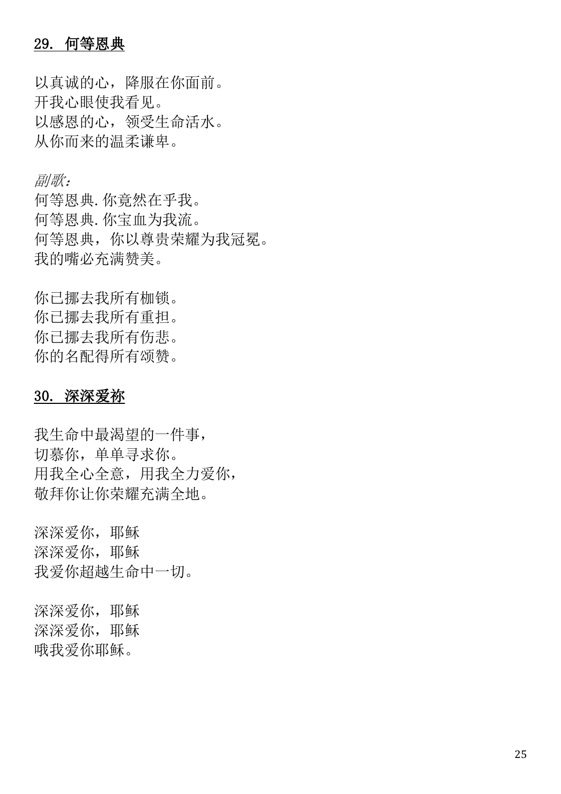# 29. 何等恩典

以真诚的心,降服在你面前。 开我心眼使我看见 。 以感恩的心, 领受生命活水。 从你而来的温柔谦卑 。

#### 副歌:

何等恩典 .你竟然在乎我 。 何等恩典 .你宝血为我流 。 何等恩典 ,你以尊贵荣耀为我冠冕 。 我的嘴必充满赞美 。

你已挪去我所有枷锁 。 你已挪去我所有重担 。 你已挪去我所有伤悲 。 你的名配得所有颂赞 。

## 30. 深深爱祢

我生命中最渴望的一件事, 切慕你,单单寻求你。 用我全心全意,用我全力爱你, 敬拜你让你荣耀充满全地 。

深深爱你,耶稣 深深爱你,耶稣 我爱你超越生命中一切 。

深深爱你,耶稣 深深爱你,耶稣 哦我爱你耶稣 。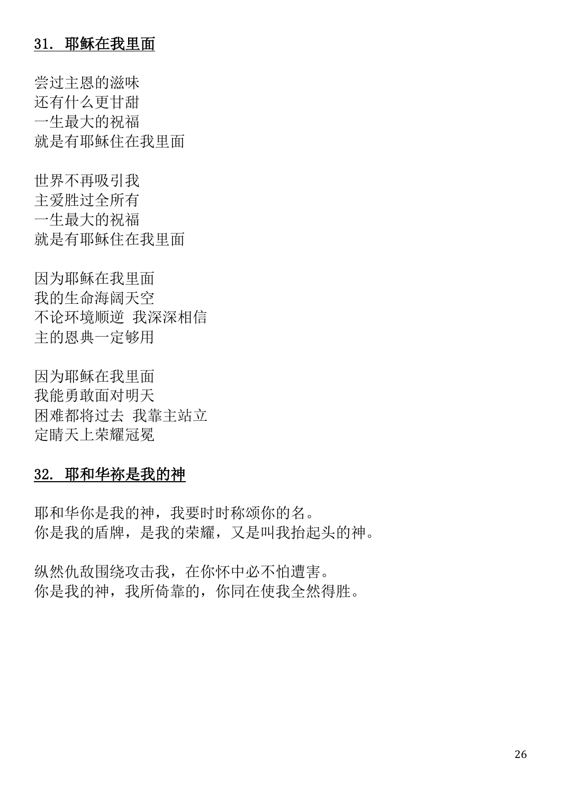### 31. 耶稣在我里面

尝过主恩的滋味 还有什么更甘甜 一生最大的祝福 就是有耶稣住在我里面

世界不再吸引我 主爱胜过全所有 一生最大的祝福 就是有耶稣住在我里面

因为耶稣在我里面 我的生命海阔天空 不论环境顺逆 我深深相信 主的恩典一定够用

因为耶稣在我里面 我能勇敢面对明天 困难都将过去 我靠主站立 定睛天上荣耀冠冕

# 32. 耶和华祢是我的神

耶和华你是我的神,我要时时称颂你的名。 你是我的盾牌,是我的荣耀,又是叫我抬起头的神。

纵然仇敌围绕攻击我,在你怀中必不怕遭害。 你是我的神,我所倚靠的,你同在使我全然得胜。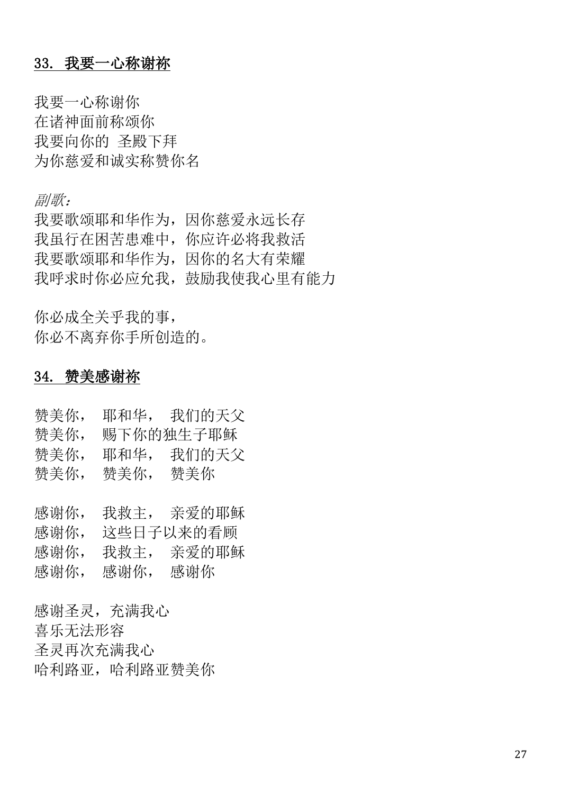#### 33. 我要一心称谢祢

我要一心称谢你 在诸神面前称颂你 我要向你的 圣殿下拜 为你慈爱和诚实称赞你名

副歌:

我要歌颂耶和华作为,因你慈爱永远长存 我虽行在困苦患难中,你应许必将我救活 我要歌颂耶和华作为,因你的名大有荣耀 我呼求时你必应允我,鼓励我使我心里有能力

你必成全关乎我的事, 你必不离弃你手所创造的。

#### 34. 赞美感谢祢

| 赞美你,<br>赞美你,<br>赞美你,<br>赞美你, | 耶和华,<br>耶和华,<br>赞美你, | 我们的天父<br>赐下你的独生子耶稣<br>我们的天父<br>赞美你 |
|------------------------------|----------------------|------------------------------------|
| 感谢你,<br>感谢你,<br>感谢你,<br>感谢你, | 我救主,<br>我救主,<br>感谢你, | 亲爱的耶稣<br>这些日子以来的看顾<br>亲爱的耶稣<br>感谢你 |

感谢圣灵,充满我心 喜乐无法形容 圣灵再次充满我心 哈利路亚,哈利路亚赞美你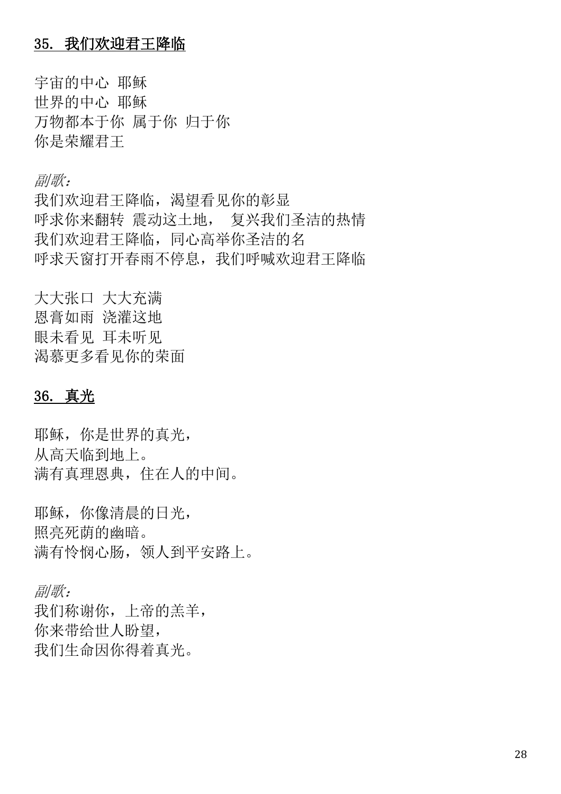宇宙的中心 耶稣 世界的中心 耶稣 万物都本于你 属于你 归于你 你是荣耀君王

#### 副歌:

我们欢迎君王降临,渴望看见你的彰显 呼求你来翻转 震动这土地, 复兴我们圣洁的热情 我们欢迎君王降临,同心高举你圣洁的名 呼求天窗打开春雨不停息,我们呼喊欢迎君王降临

大大张口 大大充满 恩膏如雨 浇灌这地 眼未看见 耳未听见 渴慕更多看见你的荣面

#### 36. 真光

耶稣,你是世界的真光, 从高天临到地上。 满有真理恩典,住在人的中间。

耶稣,你像清晨的日光, 照亮死荫的幽暗。 满有怜悯心肠,领人到平安路上。

副歌: 我们称谢你,上帝的羔羊, 你来带给世人盼望, 我们生命因你得着真光。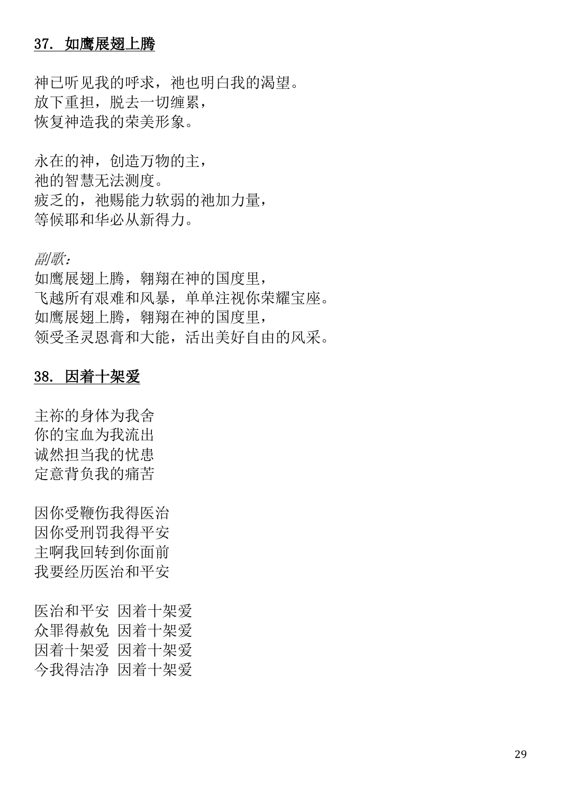#### 37. 如鹰展翅上腾

神已听见我的呼求, 祂也明白我的渴望。 放下重担,脱去一切缠累, 恢复神造我的荣美形象。

永在的神,创造万物的主, 祂的智慧无法测度。 疲乏的, 祂赐能力软弱的祂加力量, 等候耶和华必从新得力。

副歌:

如鹰展翅上腾,翱翔在神的国度里, 飞越所有艰难和风暴,单单注视你荣耀宝座。 如鹰展翅上腾,翱翔在神的国度里, 领受圣灵恩膏和大能,活出美好自由的风采。

#### 38. 因着十架爱

主祢的身体为我舍 你的宝血为我流出 诚然担当我的忧患 定意背负我的痛苦

因你受鞭伤我得医治 因你受刑罚我得平安 主啊我回转到你面前 我要经历医治和平安

医治和平安 因着十架爱 众罪得赦免 因着十架爱 因着十架爱 因着十架爱 今我得洁净 因着十架爱